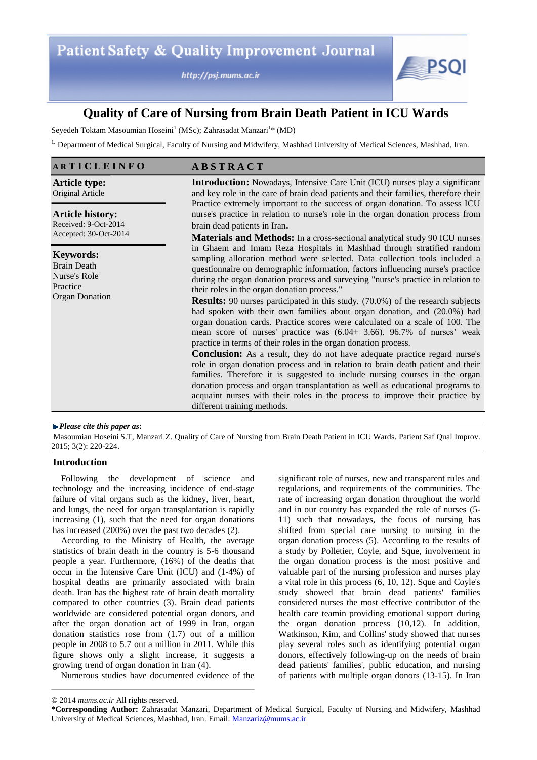http://psj.mums.ac.ir



# **Quality of Care of Nursing from Brain Death Patient in ICU Wards**

Seyedeh Toktam Masoumian Hoseini<sup>1</sup> (MSc); Zahrasadat Manzari<sup>1\*</sup> (MD)

<sup>1.</sup> Department of Medical Surgical, Faculty of Nursing and Midwifery, Mashhad University of Medical Sciences, Mashhad, Iran.

# **A R T I C L E I N F O A B S T R A C T**

**Article type:**  Original Article

**Article history:**  Received: 9-Oct-2014 Accepted: 30-Oct-2014

**Keywords:**  Brain Death

Nurse's Role Practice Organ Donation **Introduction:** Nowadays, Intensive Care Unit (ICU) nurses play a significant and key role in the care of brain dead patients and their families, therefore their Practice extremely important to the success of organ donation. To assess ICU nurse's practice in relation to nurse's role in the organ donation process from brain dead patients in Iran.

**Materials and Methods:** In a cross-sectional analytical study 90 ICU nurses in Ghaem and Imam Reza Hospitals in Mashhad through stratified random sampling allocation method were selected. Data collection tools included a questionnaire on demographic information, factors influencing nurse's practice during the organ donation process and surveying "nurse's practice in relation to their roles in the organ donation process."

**Results:** 90 nurses participated in this study. (70.0%) of the research subjects had spoken with their own families about organ donation, and (20.0%) had organ donation cards. Practice scores were calculated on a scale of 100. The mean score of nurses' practice was (6.04± 3.66). 96.7% of nurses' weak practice in terms of their roles in the organ donation process.

**Conclusion:** As a result, they do not have adequate practice regard nurse's role in organ donation process and in relation to brain death patient and their families. Therefore it is suggested to include nursing courses in the organ donation process and organ transplantation as well as educational programs to acquaint nurses with their roles in the process to improve their practice by different training methods.

#### *Please cite this paper as***:**

Masoumian Hoseini S.T, Manzari Z. Quality of Care of Nursing from Brain Death Patient in ICU Wards. Patient Saf Qual Improv. 2015; 3(2): 220-224.

# **Introduction**

Following the development of science and technology and the increasing incidence of end-stage failure of vital organs such as the kidney, liver, heart, and lungs, the need for organ transplantation is rapidly increasing (1), such that the need for organ donations has increased (200%) over the past two decades (2).

According to the Ministry of Health, the average statistics of brain death in the country is 5-6 thousand people a year. Furthermore, (16%) of the deaths that occur in the Intensive Care Unit (ICU) and (1-4%) of hospital deaths are primarily associated with brain death. Iran has the highest rate of brain death mortality compared to other countries (3). Brain dead patients worldwide are considered potential organ donors, and after the organ donation act of 1999 in Iran, organ donation statistics rose from (1.7) out of a million people in 2008 to 5.7 out a million in 2011. While this figure shows only a slight increase, it suggests a growing trend of organ donation in Iran (4).

Numerous studies have documented evidence of the

significant role of nurses, new and transparent rules and regulations, and requirements of the communities. The rate of increasing organ donation throughout the world and in our country has expanded the role of nurses (5- 11) such that nowadays, the focus of nursing has shifted from special care nursing to nursing in the organ donation process (5). According to the results of a study by Polletier, Coyle, and Sque, involvement in the organ donation process is the most positive and valuable part of the nursing profession and nurses play a vital role in this process (6, 10, 12). Sque and Coyle's study showed that brain dead patients' families considered nurses the most effective contributor of the health care teamin providing emotional support during the organ donation process (10,12). In addition, Watkinson, Kim, and Collins' study showed that nurses play several roles such as identifying potential organ donors, effectively following-up on the needs of brain dead patients' families', public education, and nursing of patients with multiple organ donors (13-15). In Iran

<sup>© 2014</sup> *mums.ac.ir* All rights reserved.

**<sup>\*</sup>Corresponding Author:** Zahrasadat Manzari, Department of Medical Surgical, Faculty of Nursing and Midwifery, Mashhad University of Medical Sciences, Mashhad, Iran. Email: Manzariz@mums.ac.ir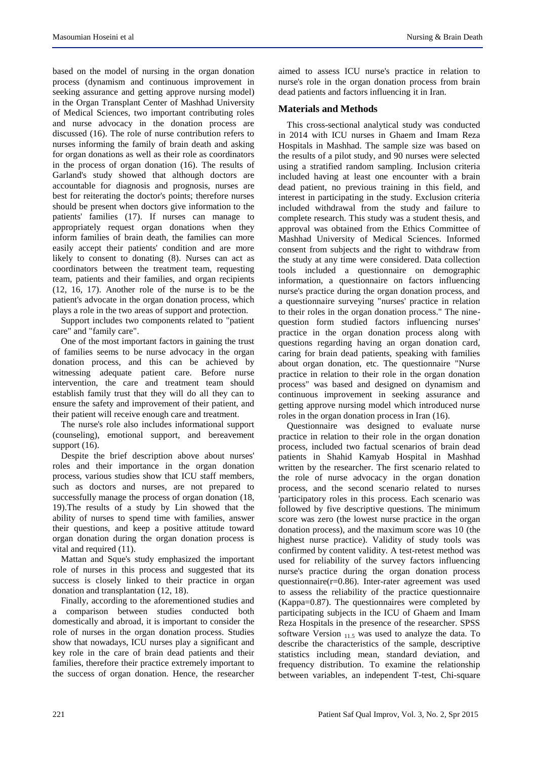based on the model of nursing in the organ donation process (dynamism and continuous improvement in seeking assurance and getting approve nursing model) in the Organ Transplant Center of Mashhad University of Medical Sciences, two important contributing roles and nurse advocacy in the donation process are discussed (16). The role of nurse contribution refers to nurses informing the family of brain death and asking for organ donations as well as their role as coordinators in the process of organ donation (16). The results of Garland's study showed that although doctors are accountable for diagnosis and prognosis, nurses are best for reiterating the doctor's points; therefore nurses should be present when doctors give information to the patients' families (17). If nurses can manage to appropriately request organ donations when they inform families of brain death, the families can more easily accept their patients' condition and are more likely to consent to donating (8). Nurses can act as coordinators between the treatment team, requesting team, patients and their families, and organ recipients (12, 16, 17). Another role of the nurse is to be the patient's advocate in the organ donation process, which plays a role in the two areas of support and protection.

Support includes two components related to "patient care" and "family care".

One of the most important factors in gaining the trust of families seems to be nurse advocacy in the organ donation process, and this can be achieved by witnessing adequate patient care. Before nurse intervention, the care and treatment team should establish family trust that they will do all they can to ensure the safety and improvement of their patient, and their patient will receive enough care and treatment.

The nurse's role also includes informational support (counseling), emotional support, and bereavement support  $(16)$ .

Despite the brief description above about nurses' roles and their importance in the organ donation process, various studies show that ICU staff members, such as doctors and nurses, are not prepared to successfully manage the process of organ donation (18, 19).The results of a study by Lin showed that the ability of nurses to spend time with families, answer their questions, and keep a positive attitude toward organ donation during the organ donation process is vital and required (11).

Mattan and Sque's study emphasized the important role of nurses in this process and suggested that its success is closely linked to their practice in organ donation and transplantation (12, 18).

Finally, according to the aforementioned studies and a comparison between studies conducted both domestically and abroad, it is important to consider the role of nurses in the organ donation process. Studies show that nowadays, ICU nurses play a significant and key role in the care of brain dead patients and their families, therefore their practice extremely important to the success of organ donation. Hence, the researcher aimed to assess ICU nurse's practice in relation to nurse's role in the organ donation process from brain dead patients and factors influencing it in Iran.

#### **Materials and Methods**

This cross-sectional analytical study was conducted in 2014 with ICU nurses in Ghaem and Imam Reza Hospitals in Mashhad. The sample size was based on the results of a pilot study, and 90 nurses were selected using a stratified random sampling. Inclusion criteria included having at least one encounter with a brain dead patient, no previous training in this field, and interest in participating in the study. Exclusion criteria included withdrawal from the study and failure to complete research. This study was a student thesis, and approval was obtained from the Ethics Committee of Mashhad University of Medical Sciences. Informed consent from subjects and the right to withdraw from the study at any time were considered. Data collection tools included a questionnaire on demographic information, a questionnaire on factors influencing nurse's practice during the organ donation process, and a questionnaire surveying "nurses' practice in relation to their roles in the organ donation process." The ninequestion form studied factors influencing nurses' practice in the organ donation process along with questions regarding having an organ donation card, caring for brain dead patients, speaking with families about organ donation, etc. The questionnaire "Nurse practice in relation to their role in the organ donation process" was based and designed on dynamism and continuous improvement in seeking assurance and getting approve nursing model which introduced nurse roles in the organ donation process in Iran (16).

Questionnaire was designed to evaluate nurse practice in relation to their role in the organ donation process, included two factual scenarios of brain dead patients in Shahid Kamyab Hospital in Mashhad written by the researcher. The first scenario related to the role of nurse advocacy in the organ donation process, and the second scenario related to nurses 'participatory roles in this process. Each scenario was followed by five descriptive questions. The minimum score was zero (the lowest nurse practice in the organ donation process), and the maximum score was 10 (the highest nurse practice). Validity of study tools was confirmed by content validity. A test-retest method was used for reliability of the survey factors influencing nurse's practice during the organ donation process questionnaire(r=0.86). Inter-rater agreement was used to assess the reliability of the practice questionnaire (Kappa=0.87). The questionnaires were completed by participating subjects in the ICU of Ghaem and Imam Reza Hospitals in the presence of the researcher. SPSS software Version 11.5 was used to analyze the data. To describe the characteristics of the sample, descriptive statistics including mean, standard deviation, and frequency distribution. To examine the relationship between variables, an independent T-test, Chi-square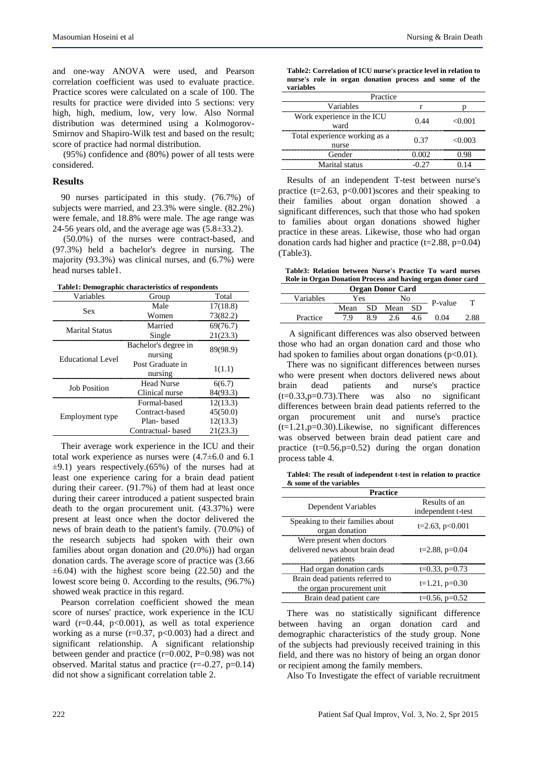and one-way ANOVA were used, and Pearson correlation coefficient was used to evaluate practice. Practice scores were calculated on a scale of 100. The results for practice were divided into 5 sections: very high, high, medium, low, very low. Also Normal distribution was determined using a Kolmogorov-Smirnov and Shapiro-Wilk test and based on the result; score of practice had normal distribution.

(95%) confidence and (80%) power of all tests were considered.

# **Results**

90 nurses participated in this study. (76.7%) of subjects were married, and 23.3% were single. (82.2%) were female, and 18.8% were male. The age range was 24-56 years old, and the average age was (5.8±33.2).

(50.0%) of the nurses were contract-based, and (97.3%) held a bachelor's degree in nursing. The majority (93.3%) was clinical nurses, and (6.7%) were head nurses table1.

**Table1: Demographic characteristics of respondents**

| Variables             | Group                | Total    |  |
|-----------------------|----------------------|----------|--|
| Sex                   | Male                 | 17(18.8) |  |
|                       | Women                | 73(82.2) |  |
| <b>Marital Status</b> | Married              | 69(76.7) |  |
|                       | Single               | 21(23.3) |  |
| Educational Level     | Bachelor's degree in | 89(98.9) |  |
|                       | nursing              |          |  |
|                       | Post Graduate in     | 1(1.1)   |  |
|                       | nursing              |          |  |
| <b>Job Position</b>   | Head Nurse           | 6(6.7)   |  |
|                       | Clinical nurse       | 84(93.3) |  |
|                       | Formal-based         | 12(13.3) |  |
| Employment type       | Contract-based       | 45(50.0) |  |
|                       | Plan-based           | 12(13.3) |  |
|                       | Contractual- based   | 21(23.3) |  |

Their average work experience in the ICU and their total work experience as nurses were (4.7±6.0 and 6.1  $\pm$ 9.1) years respectively.(65%) of the nurses had at least one experience caring for a brain dead patient during their career. (91.7%) of them had at least once during their career introduced a patient suspected brain death to the organ procurement unit. (43.37%) were present at least once when the doctor delivered the news of brain death to the patient's family. (70.0%) of the research subjects had spoken with their own families about organ donation and (20.0%)) had organ donation cards. The average score of practice was (3.66  $\pm 6.04$ ) with the highest score being (22.50) and the lowest score being 0. According to the results, (96.7%) showed weak practice in this regard.

Pearson correlation coefficient showed the mean score of nurses' practice, work experience in the ICU ward  $(r=0.44, p<0.001)$ , as well as total experience working as a nurse ( $r=0.37$ ,  $p<0.003$ ) had a direct and significant relationship. A significant relationship between gender and practice (r=0.002, P=0.98) was not observed. Marital status and practice  $(r=-0.27, p=0.14)$ did not show a significant correlation table 2.

| Table2: Correlation of ICU nurse's practice level in relation to |  |  |  |  |  |  |  |
|------------------------------------------------------------------|--|--|--|--|--|--|--|
| nurse's role in organ donation process and some of the           |  |  |  |  |  |  |  |
| variables                                                        |  |  |  |  |  |  |  |

| Practice                               |      |         |  |  |
|----------------------------------------|------|---------|--|--|
| Variables                              |      |         |  |  |
| Work experience in the ICU<br>ward     | 0.44 | < 0.001 |  |  |
| Total experience working as a<br>nurse | 0.37 | < 0.003 |  |  |
| Gender                                 |      | J.98    |  |  |
| Marital status                         |      |         |  |  |

Results of an independent T-test between nurse's practice ( $t=2.63$ ,  $p<0.001$ )scores and their speaking to their families about organ donation showed a significant differences, such that those who had spoken to families about organ donations showed higher practice in these areas. Likewise, those who had organ donation cards had higher and practice  $(t=2.88, p=0.04)$ (Table3).

**Table3: Relation between Nurse's Practice To ward nurses Role in Organ Donation Process and having organ donor card**

| <b>Organ Donor Card</b> |           |        |      |  |         |  |
|-------------------------|-----------|--------|------|--|---------|--|
| Variables               | <b>es</b> |        | Nο   |  | P-value |  |
|                         | Mean      |        | Mean |  |         |  |
| Practice                | u         | o<br>x |      |  |         |  |

A significant differences was also observed between those who had an organ donation card and those who had spoken to families about organ donations  $(p<0.01)$ .

There was no significant differences between nurses who were present when doctors delivered news about brain dead patients and nurse's practice<br> $(t=0.33, p=0.73)$ . There was also no significant  $(t=0.33,p=0.73)$ . There was also no differences between brain dead patients referred to the organ procurement unit and nurse's practice  $(t=1.21, p=0.30)$ . Likewise, no significant differences was observed between brain dead patient care and practice  $(t=0.56, p=0.52)$  during the organ donation process table 4.

**Table4: The result of independent t-test in relation to practice & some of the variables**

| Practice                         |                      |  |  |  |
|----------------------------------|----------------------|--|--|--|
| Dependent Variables              | Results of an        |  |  |  |
|                                  | independent t-test   |  |  |  |
| Speaking to their families about | $t=2.63$ , $p<0.001$ |  |  |  |
| organ donation                   |                      |  |  |  |
| Were present when doctors        |                      |  |  |  |
| delivered news about brain dead  | $t=2.88$ , $p=0.04$  |  |  |  |
| patients                         |                      |  |  |  |
| Had organ donation cards         | $t=0.33$ , $p=0.73$  |  |  |  |
| Brain dead patients referred to  |                      |  |  |  |
| the organ procurement unit       | $t=1.21$ , $p=0.30$  |  |  |  |
| Brain dead patient care          | $t=0.56$ , $p=0.52$  |  |  |  |

There was no statistically significant difference between having an organ donation card and demographic characteristics of the study group. None of the subjects had previously received training in this field, and there was no history of being an organ donor or recipient among the family members.

Also To Investigate the effect of variable recruitment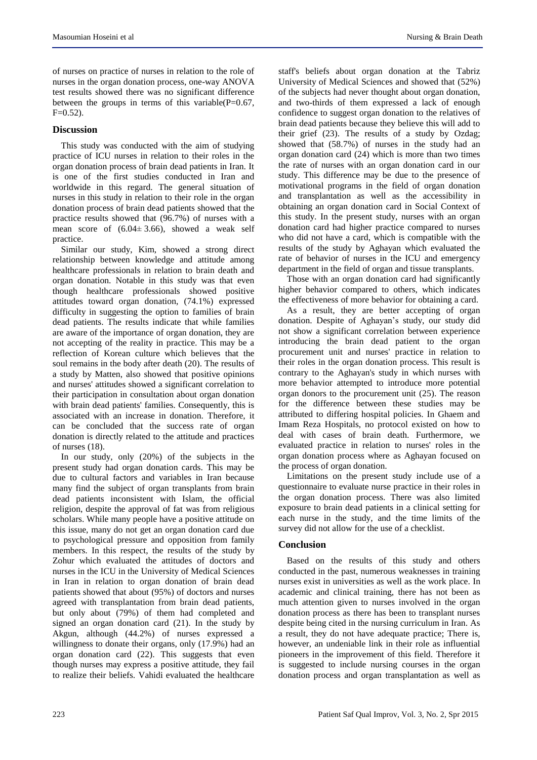of nurses on practice of nurses in relation to the role of nurses in the organ donation process, one-way ANOVA test results showed there was no significant difference between the groups in terms of this variable( $P=0.67$ ,  $F=0.52$ ).

# **Discussion**

This study was conducted with the aim of studying practice of ICU nurses in relation to their roles in the organ donation process of brain dead patients in Iran. It is one of the first studies conducted in Iran and worldwide in this regard. The general situation of nurses in this study in relation to their role in the organ donation process of brain dead patients showed that the practice results showed that (96.7%) of nurses with a mean score of  $(6.04 \pm 3.66)$ , showed a weak self practice.

Similar our study, Kim, showed a strong direct relationship between knowledge and attitude among healthcare professionals in relation to brain death and organ donation. Notable in this study was that even though healthcare professionals showed positive attitudes toward organ donation, (74.1%) expressed difficulty in suggesting the option to families of brain dead patients. The results indicate that while families are aware of the importance of organ donation, they are not accepting of the reality in practice. This may be a reflection of Korean culture which believes that the soul remains in the body after death (20). The results of a study by Matten, also showed that positive opinions and nurses' attitudes showed a significant correlation to their participation in consultation about organ donation with brain dead patients' families. Consequently, this is associated with an increase in donation. Therefore, it can be concluded that the success rate of organ donation is directly related to the attitude and practices of nurses (18).

In our study, only (20%) of the subjects in the present study had organ donation cards. This may be due to cultural factors and variables in Iran because many find the subject of organ transplants from brain dead patients inconsistent with Islam, the official religion, despite the approval of fat was from religious scholars. While many people have a positive attitude on this issue, many do not get an organ donation card due to psychological pressure and opposition from family members. In this respect, the results of the study by Zohur which evaluated the attitudes of doctors and nurses in the ICU in the University of Medical Sciences in Iran in relation to organ donation of brain dead patients showed that about (95%) of doctors and nurses agreed with transplantation from brain dead patients, but only about (79%) of them had completed and signed an organ donation card (21). In the study by Akgun, although (44.2%) of nurses expressed a willingness to donate their organs, only (17.9%) had an organ donation card (22). This suggests that even though nurses may express a positive attitude, they fail to realize their beliefs. Vahidi evaluated the healthcare staff's beliefs about organ donation at the Tabriz University of Medical Sciences and showed that (52%) of the subjects had never thought about organ donation, and two-thirds of them expressed a lack of enough confidence to suggest organ donation to the relatives of brain dead patients because they believe this will add to their grief (23). The results of a study by Ozdag; showed that (58.7%) of nurses in the study had an organ donation card (24) which is more than two times the rate of nurses with an organ donation card in our study. This difference may be due to the presence of motivational programs in the field of organ donation and transplantation as well as the accessibility in obtaining an organ donation card in Social Context of this study. In the present study, nurses with an organ donation card had higher practice compared to nurses who did not have a card, which is compatible with the results of the study by Aghayan which evaluated the rate of behavior of nurses in the ICU and emergency department in the field of organ and tissue transplants.

Those with an organ donation card had significantly higher behavior compared to others, which indicates the effectiveness of more behavior for obtaining a card.

As a result, they are better accepting of organ donation. Despite of Aghayan's study, our study did not show a significant correlation between experience introducing the brain dead patient to the organ procurement unit and nurses' practice in relation to their roles in the organ donation process. This result is contrary to the Aghayan's study in which nurses with more behavior attempted to introduce more potential organ donors to the procurement unit (25). The reason for the difference between these studies may be attributed to differing hospital policies. In Ghaem and Imam Reza Hospitals, no protocol existed on how to deal with cases of brain death. Furthermore, we evaluated practice in relation to nurses' roles in the organ donation process where as Aghayan focused on the process of organ donation.

Limitations on the present study include use of a questionnaire to evaluate nurse practice in their roles in the organ donation process. There was also limited exposure to brain dead patients in a clinical setting for each nurse in the study, and the time limits of the survey did not allow for the use of a checklist.

#### **Conclusion**

Based on the results of this study and others conducted in the past, numerous weaknesses in training nurses exist in universities as well as the work place. In academic and clinical training, there has not been as much attention given to nurses involved in the organ donation process as there has been to transplant nurses despite being cited in the nursing curriculum in Iran. As a result, they do not have adequate practice; There is, however, an undeniable link in their role as influential pioneers in the improvement of this field. Therefore it is suggested to include nursing courses in the organ donation process and organ transplantation as well as